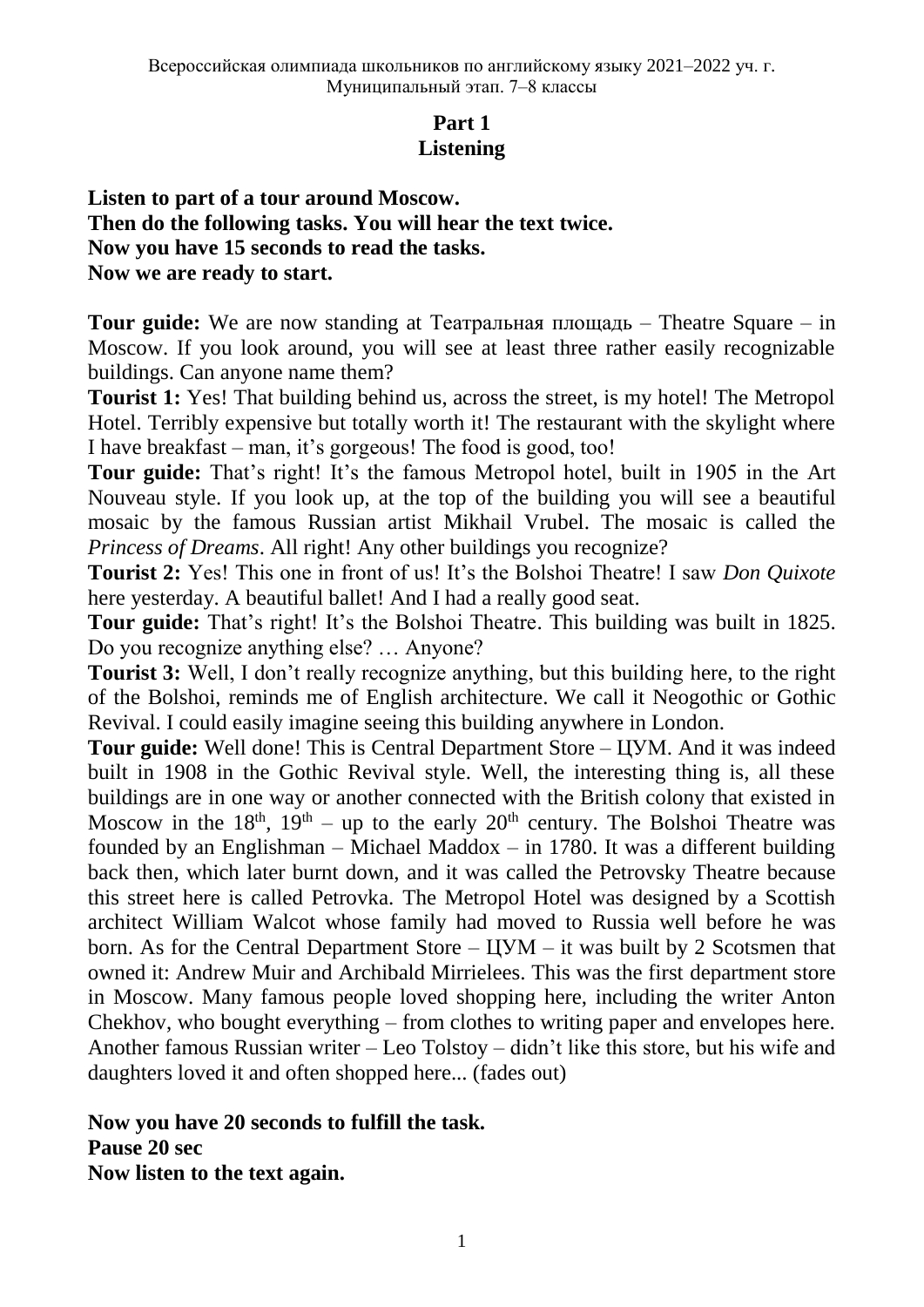## **Part 1 Listening**

**Listen to part of a tour around Moscow. Then do the following tasks. You will hear the text twice. Now you have 15 seconds to read the tasks. Now we are ready to start.**

**Tour guide:** We are now standing at Театральная площадь – Theatre Square – in Moscow. If you look around, you will see at least three rather easily recognizable buildings. Can anyone name them?

**Tourist 1:** Yes! That building behind us, across the street, is my hotel! The Metropol Hotel. Terribly expensive but totally worth it! The restaurant with the skylight where I have breakfast – man, it's gorgeous! The food is good, too!

**Tour guide:** That's right! It's the famous Metropol hotel, built in 1905 in the Art Nouveau style. If you look up, at the top of the building you will see a beautiful mosaic by the famous Russian artist Mikhail Vrubel. The mosaic is called the *Princess of Dreams*. All right! Any other buildings you recognize?

**Tourist 2:** Yes! This one in front of us! It's the Bolshoi Theatre! I saw *Don Quixote* here yesterday. A beautiful ballet! And I had a really good seat.

**Tour guide:** That's right! It's the Bolshoi Theatre. This building was built in 1825. Do you recognize anything else? … Anyone?

**Tourist 3:** Well, I don't really recognize anything, but this building here, to the right of the Bolshoi, reminds me of English architecture. We call it Neogothic or Gothic Revival. I could easily imagine seeing this building anywhere in London.

**Tour guide:** Well done! This is Central Department Store – ЦУМ. And it was indeed built in 1908 in the Gothic Revival style. Well, the interesting thing is, all these buildings are in one way or another connected with the British colony that existed in Moscow in the  $18<sup>th</sup>$ ,  $19<sup>th</sup> - up$  to the early  $20<sup>th</sup>$  century. The Bolshoi Theatre was founded by an Englishman – Michael Maddox – in 1780. It was a different building back then, which later burnt down, and it was called the Petrovsky Theatre because this street here is called Petrovka. The Metropol Hotel was designed by a Scottish architect William Walcot whose family had moved to Russia well before he was born. As for the Central Department Store – ЦУМ – it was built by 2 Scotsmen that owned it: Andrew Muir and Archibald Mirrielees. This was the first department store in Moscow. Many famous people loved shopping here, including the writer Anton Chekhov, who bought everything – from clothes to writing paper and envelopes here. Another famous Russian writer – Leo Tolstoy – didn't like this store, but his wife and daughters loved it and often shopped here... (fades out)

**Now you have 20 seconds to fulfill the task. Pause 20 sec**

**Now listen to the text again.**